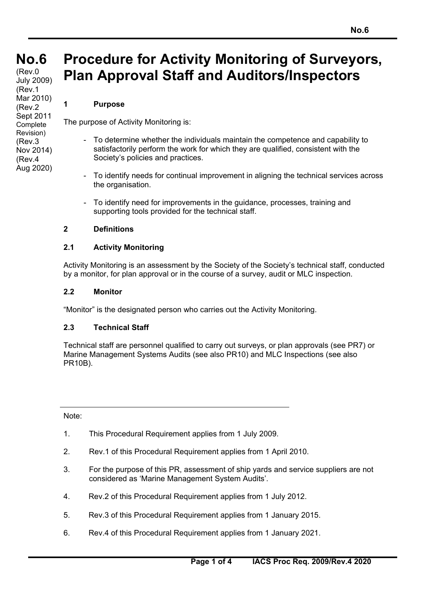# **No.6 No.6**

**(cont)** (Rev.0 July 2009) (Rev.1 Mar 2010) (Rev.2 Sept 2011 **Complete** Revision) (Rev.3 Nov 2014) (Rev.4 Aug 2020)

# **Procedure for Activity Monitoring of Surveyors, Plan Approval Staff and Auditors/Inspectors**

#### **1 Purpose**

The purpose of Activity Monitoring is:

- To determine whether the individuals maintain the competence and capability to satisfactorily perform the work for which they are qualified, consistent with the Society's policies and practices.
- To identify needs for continual improvement in aligning the technical services across the organisation.
- To identify need for improvements in the guidance, processes, training and supporting tools provided for the technical staff.

#### **2 Definitions**

#### **2.1 Activity Monitoring**

Activity Monitoring is an assessment by the Society of the Society's technical staff, conducted by a monitor, for plan approval or in the course of a survey, audit or MLC inspection.

#### **2.2 Monitor**

"Monitor" is the designated person who carries out the Activity Monitoring.

#### **2.3 Technical Staff**

Technical staff are personnel qualified to carry out surveys, or plan approvals (see PR7) or Marine Management Systems Audits (see also PR10) and MLC Inspections (see also PR10B).

Note:

-

 $\overline{a}$ 

- 1. This Procedural Requirement applies from 1 July 2009.
- 2. Rev.1 of this Procedural Requirement applies from 1 April 2010.
- 3. For the purpose of this PR, assessment of ship yards and service suppliers are not considered as 'Marine Management System Audits'.
- 4. Rev.2 of this Procedural Requirement applies from 1 July 2012.
- 5. Rev.3 of this Procedural Requirement applies from 1 January 2015.
- 6. Rev.4 of this Procedural Requirement applies from 1 January 2021.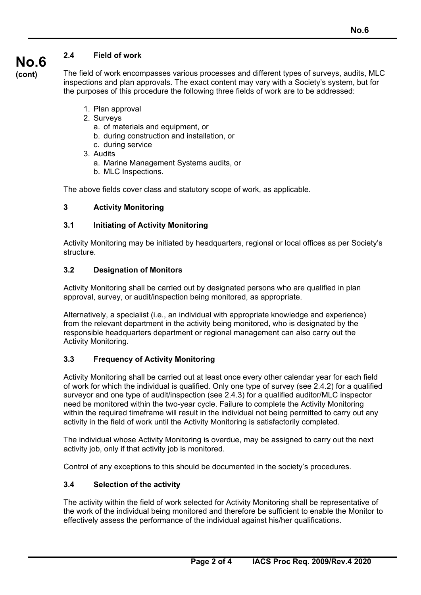# **2.4 Field of work**

**(cont)**

**No.6**

The field of work encompasses various processes and different types of surveys, audits, MLC inspections and plan approvals. The exact content may vary with a Society's system, but for the purposes of this procedure the following three fields of work are to be addressed:

- 1. Plan approval
- 2. Surveys
	- a. of materials and equipment, or
	- b. during construction and installation, or
	- c. during service
- 3. Audits
	- a. Marine Management Systems audits, or
	- b. MLC Inspections.

The above fields cover class and statutory scope of work, as applicable.

# **3 Activity Monitoring**

## **3.1 Initiating of Activity Monitoring**

Activity Monitoring may be initiated by headquarters, regional or local offices as per Society's structure.

## **3.2 Designation of Monitors**

Activity Monitoring shall be carried out by designated persons who are qualified in plan approval, survey, or audit/inspection being monitored, as appropriate.

Alternatively, a specialist (i.e., an individual with appropriate knowledge and experience) from the relevant department in the activity being monitored, who is designated by the responsible headquarters department or regional management can also carry out the Activity Monitoring.

# **3.3 Frequency of Activity Monitoring**

Activity Monitoring shall be carried out at least once every other calendar year for each field of work for which the individual is qualified. Only one type of survey (see 2.4.2) for a qualified surveyor and one type of audit/inspection (see 2.4.3) for a qualified auditor/MLC inspector need be monitored within the two-year cycle. Failure to complete the Activity Monitoring within the required timeframe will result in the individual not being permitted to carry out any activity in the field of work until the Activity Monitoring is satisfactorily completed.

The individual whose Activity Monitoring is overdue, may be assigned to carry out the next activity job, only if that activity job is monitored.

Control of any exceptions to this should be documented in the society's procedures.

# **3.4 Selection of the activity**

 $\overline{a}$ 

The activity within the field of work selected for Activity Monitoring shall be representative of the work of the individual being monitored and therefore be sufficient to enable the Monitor to effectively assess the performance of the individual against his/her qualifications.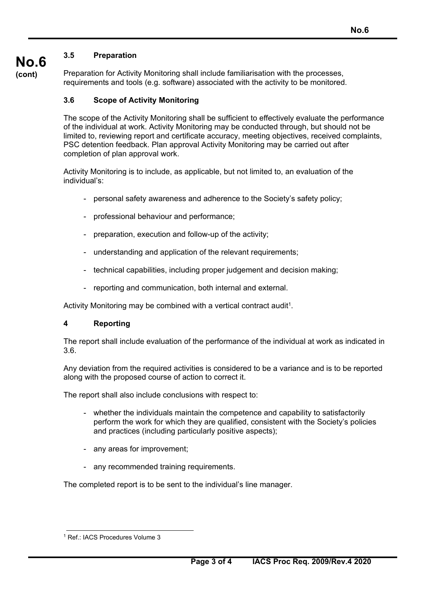# **3.5 Preparation**

**No.6 (cont)**

Preparation for Activity Monitoring shall include familiarisation with the processes, requirements and tools (e.g. software) associated with the activity to be monitored.

#### **3.6 Scope of Activity Monitoring**

The scope of the Activity Monitoring shall be sufficient to effectively evaluate the performance of the individual at work. Activity Monitoring may be conducted through, but should not be limited to, reviewing report and certificate accuracy, meeting objectives, received complaints, PSC detention feedback. Plan approval Activity Monitoring may be carried out after completion of plan approval work.

Activity Monitoring is to include, as applicable, but not limited to, an evaluation of the individual's:

- personal safety awareness and adherence to the Society's safety policy;
- professional behaviour and performance;
- preparation, execution and follow-up of the activity;
- understanding and application of the relevant requirements;
- technical capabilities, including proper judgement and decision making;
- reporting and communication, both internal and external.

Activity Monitoring may be combined with a vertical contract audit<sup>1</sup>.

#### **4 Reporting**

The report shall include evaluation of the performance of the individual at work as indicated in 3.6.

Any deviation from the required activities is considered to be a variance and is to be reported along with the proposed course of action to correct it.

The report shall also include conclusions with respect to:

- whether the individuals maintain the competence and capability to satisfactorily perform the work for which they are qualified, consistent with the Society's policies and practices (including particularly positive aspects);
- any areas for improvement;
- any recommended training requirements.

The completed report is to be sent to the individual's line manager.

 $\overline{a}$ 

<sup>1</sup> Ref.: IACS Procedures Volume 3